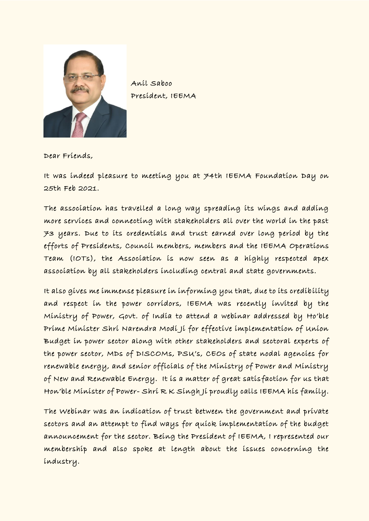

Anil Saboo President, IEEMA

Dear Friends,

It was indeed pleasure to meeting you at 74th IEEMA Foundation Day on 25th Feb 2021.

The association has travelled a long way spreading its wings and adding more services and connecting with stakeholders all over the world in the past 73 years. Due to its credentials and trust earned over long period by the efforts of Presidents, Council members, members and the IEEMA Operations Team (IOTs), the Association is now seen as a highly respected apex association by all stakeholders including central and state governments.

It also gives me immense pleasure in informing you that, due to its credib ility and respect in the power corridors, IEEMA was recently invited by the Ministry of Power, Govt. of India to attend a webinar addressed by Ho'ble Prime Minister Shri Narendra Modi Ji for effective implementation of Union Budget in power sector along with other stakeholders and sectoral experts of the power sector, MDs of DISCOMs, PSU's, CEOs of state nodal agencies for renewable energy, and senior officials of the Ministry of Power and Ministry of New and Renewable Energy. It is a matter of great satis faction for us that Hon'ble Minister of Power- Shri R K Singh Ji proudly calls IEEMA his family.

The Webinar was an indication of trust between the government and private sectors and an attempt to find ways for quick implementation of the budget announcement for the sector. Being the President of IEEMA, I represented our membership and also spoke at length about the issues concerning the industry.